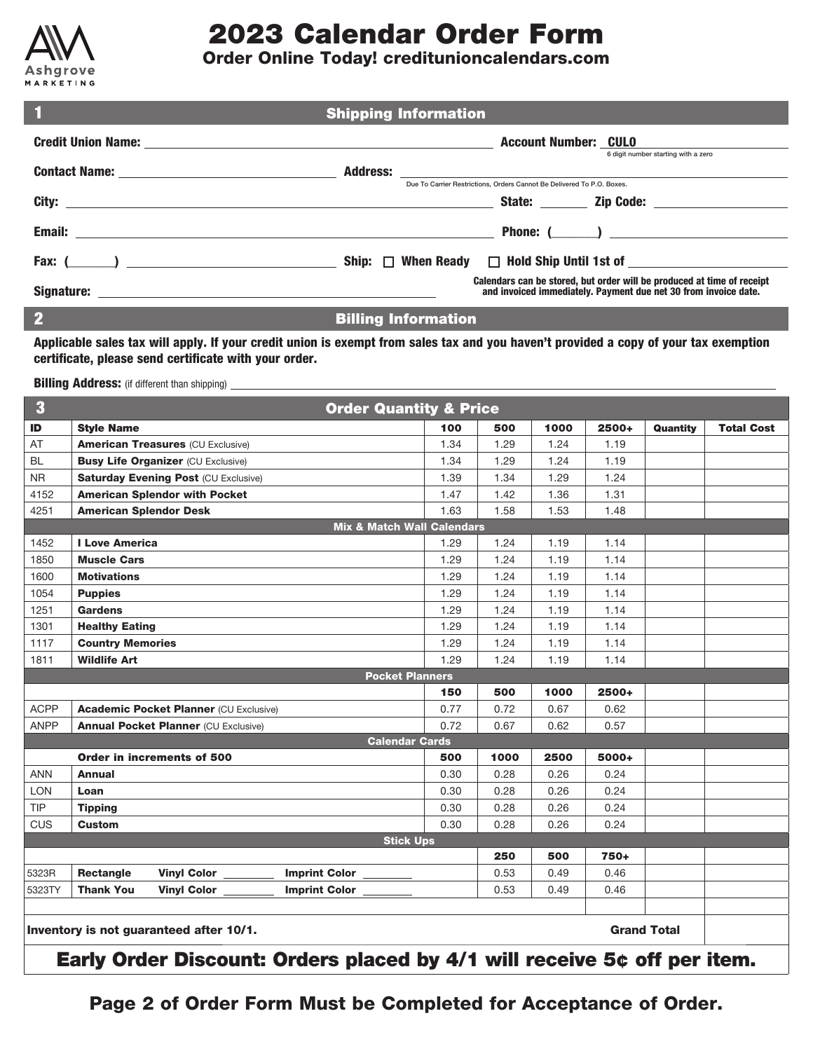

# **2023 Calendar Order Form**

### **Order Online Today! creditunioncalendars.com**

| $\blacksquare$       | <b>Shipping Information</b>                                                                                                               |                                     |
|----------------------|-------------------------------------------------------------------------------------------------------------------------------------------|-------------------------------------|
|                      | <b>Account Number: CULO</b>                                                                                                               |                                     |
|                      |                                                                                                                                           | 6 digit number starting with a zero |
|                      | Due To Carrier Restrictions, Orders Cannot Be Delivered To P.O. Boxes.                                                                    |                                     |
|                      |                                                                                                                                           |                                     |
|                      |                                                                                                                                           |                                     |
| Fax: $($ $)$ $)$ $)$ | When Ready $\Box$ Hold Ship Until 1st of $\Box$                                                                                           |                                     |
|                      | Calendars can be stored, but order will be produced at time of receipt<br>and invoiced immediately. Payment due net 30 from invoice date. |                                     |
| <b>COLL</b>          |                                                                                                                                           |                                     |

2 **Billing Information**

**Applicable sales tax will apply. If your credit union is exempt from sales tax and you haven't provided a copy of your tax exemption certificate, please send certificate with your order.**

**Billing Address:** (if different than shipping)

| $\bf{3}$                                                      | <b>Order Quantity &amp; Price</b>                       |      |      |      |       |          |                   |
|---------------------------------------------------------------|---------------------------------------------------------|------|------|------|-------|----------|-------------------|
| ID                                                            | <b>Style Name</b>                                       | 100  | 500  | 1000 | 2500+ | Quantity | <b>Total Cost</b> |
| AT                                                            | <b>American Treasures (CU Exclusive)</b>                | 1.34 | 1.29 | 1.24 | 1.19  |          |                   |
| <b>BL</b>                                                     | <b>Busy Life Organizer (CU Exclusive)</b>               | 1.34 | 1.29 | 1.24 | 1.19  |          |                   |
| <b>NR</b>                                                     | <b>Saturday Evening Post (CU Exclusive)</b>             | 1.39 | 1.34 | 1.29 | 1.24  |          |                   |
| 4152                                                          | <b>American Splendor with Pocket</b>                    | 1.47 | 1.42 | 1.36 | 1.31  |          |                   |
| 4251                                                          | <b>American Splendor Desk</b>                           | 1.63 | 1.58 | 1.53 | 1.48  |          |                   |
|                                                               | <b>Mix &amp; Match Wall Calendars</b>                   |      |      |      |       |          |                   |
| 1452                                                          | <b>I Love America</b>                                   | 1.29 | 1.24 | 1.19 | 1.14  |          |                   |
| 1850                                                          | <b>Muscle Cars</b>                                      | 1.29 | 1.24 | 1.19 | 1.14  |          |                   |
| 1600                                                          | <b>Motivations</b>                                      | 1.29 | 1.24 | 1.19 | 1.14  |          |                   |
| 1054                                                          | <b>Puppies</b>                                          | 1.29 | 1.24 | 1.19 | 1.14  |          |                   |
| 1251                                                          | <b>Gardens</b>                                          | 1.29 | 1.24 | 1.19 | 1.14  |          |                   |
| 1301                                                          | <b>Healthy Eating</b>                                   | 1.29 | 1.24 | 1.19 | 1.14  |          |                   |
| 1117                                                          | <b>Country Memories</b>                                 | 1.29 | 1.24 | 1.19 | 1.14  |          |                   |
| 1811                                                          | <b>Wildlife Art</b>                                     | 1.29 | 1.24 | 1.19 | 1.14  |          |                   |
|                                                               | <b>Pocket Planners</b>                                  |      |      |      |       |          |                   |
|                                                               |                                                         | 150  | 500  | 1000 | 2500+ |          |                   |
| <b>ACPP</b>                                                   | <b>Academic Pocket Planner (CU Exclusive)</b>           | 0.77 | 0.72 | 0.67 | 0.62  |          |                   |
| <b>ANPP</b>                                                   | <b>Annual Pocket Planner (CU Exclusive)</b>             | 0.72 | 0.67 | 0.62 | 0.57  |          |                   |
|                                                               | <b>Calendar Cards</b>                                   |      |      |      |       |          |                   |
|                                                               | Order in increments of 500                              | 500  | 1000 | 2500 | 5000+ |          |                   |
| <b>ANN</b>                                                    | <b>Annual</b>                                           | 0.30 | 0.28 | 0.26 | 0.24  |          |                   |
| <b>LON</b>                                                    | Loan                                                    | 0.30 | 0.28 | 0.26 | 0.24  |          |                   |
| <b>TIP</b>                                                    | <b>Tipping</b>                                          | 0.30 | 0.28 | 0.26 | 0.24  |          |                   |
| CUS                                                           | <b>Custom</b>                                           | 0.30 | 0.28 | 0.26 | 0.24  |          |                   |
|                                                               | <b>Stick Ups</b>                                        |      |      |      |       |          |                   |
|                                                               |                                                         |      | 250  | 500  | 750+  |          |                   |
| 5323R                                                         | Imprint Color ______<br>Rectangle<br><b>Vinyl Color</b> |      | 0.53 | 0.49 | 0.46  |          |                   |
| 5323TY                                                        | <b>Thank You</b><br>Vinyl Color<br>Imprint Color ______ |      | 0.53 | 0.49 | 0.46  |          |                   |
|                                                               |                                                         |      |      |      |       |          |                   |
| <b>Grand Total</b><br>Inventory is not guaranteed after 10/1. |                                                         |      |      |      |       |          |                   |
|                                                               | - - - - -<br><b>ALC</b><br>. .                          | ---  |      |      |       |          | <b>B</b> m        |

**Early Order Discount: Orders placed by 4/1 will receive 5¢ off per item.**

**Page 2 of Order Form Must be Completed for Acceptance of Order.**